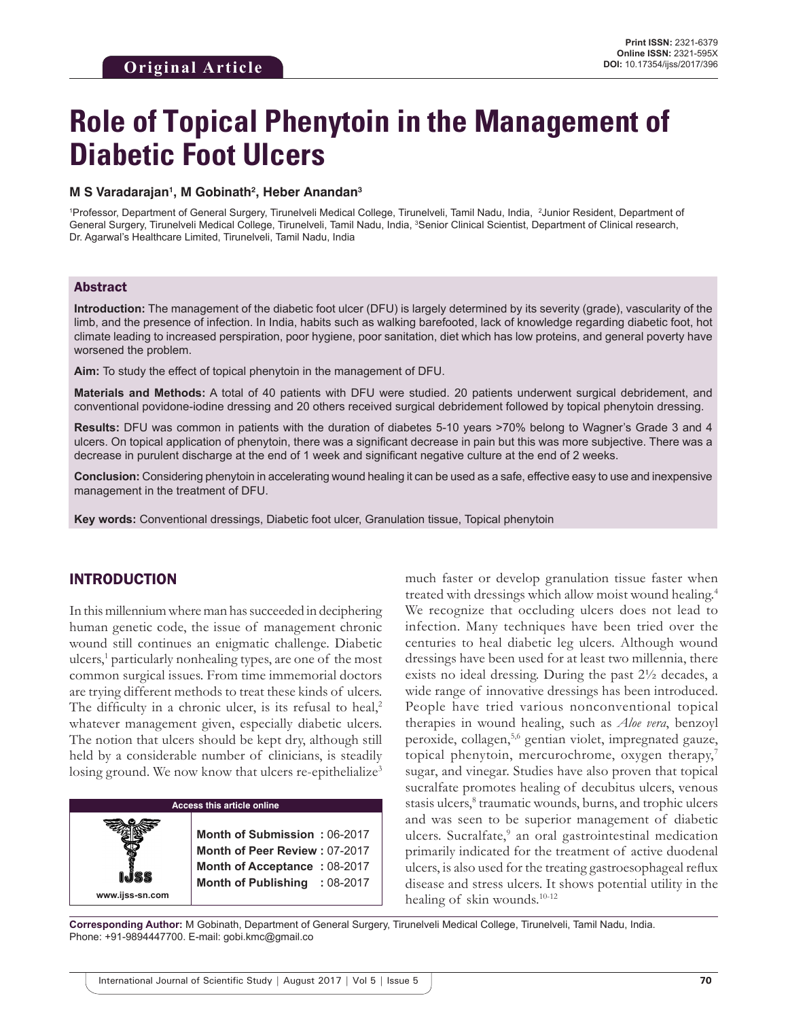# **Role of Topical Phenytoin in the Management of Diabetic Foot Ulcers**

#### **M S Varadarajan1 , M Gobinath2 , Heber Anandan3**

1 Professor, Department of General Surgery, Tirunelveli Medical College, Tirunelveli, Tamil Nadu, India, 2 Junior Resident, Department of General Surgery, Tirunelveli Medical College, Tirunelveli, Tamil Nadu, India, <sup>3</sup>Senior Clinical Scientist, Department of Clinical research, Dr. Agarwal's Healthcare Limited, Tirunelveli, Tamil Nadu, India

## Abstract

**Introduction:** The management of the diabetic foot ulcer (DFU) is largely determined by its severity (grade), vascularity of the limb, and the presence of infection. In India, habits such as walking barefooted, lack of knowledge regarding diabetic foot, hot climate leading to increased perspiration, poor hygiene, poor sanitation, diet which has low proteins, and general poverty have worsened the problem.

**Aim:** To study the effect of topical phenytoin in the management of DFU.

**Materials and Methods:** A total of 40 patients with DFU were studied. 20 patients underwent surgical debridement, and conventional povidone-iodine dressing and 20 others received surgical debridement followed by topical phenytoin dressing.

**Results:** DFU was common in patients with the duration of diabetes 5-10 years >70% belong to Wagner's Grade 3 and 4 ulcers. On topical application of phenytoin, there was a significant decrease in pain but this was more subjective. There was a decrease in purulent discharge at the end of 1 week and significant negative culture at the end of 2 weeks.

**Conclusion:** Considering phenytoin in accelerating wound healing it can be used as a safe, effective easy to use and inexpensive management in the treatment of DFU.

**Key words:** Conventional dressings, Diabetic foot ulcer, Granulation tissue, Topical phenytoin

# INTRODUCTION

**www.ijss-sn.com**

In this millennium where man has succeeded in deciphering human genetic code, the issue of management chronic wound still continues an enigmatic challenge. Diabetic ulcers,<sup>1</sup> particularly nonhealing types, are one of the most common surgical issues. From time immemorial doctors are trying different methods to treat these kinds of ulcers. The difficulty in a chronic ulcer, is its refusal to heal,<sup>2</sup> whatever management given, especially diabetic ulcers. The notion that ulcers should be kept dry, although still held by a considerable number of clinicians, is steadily losing ground. We now know that ulcers re-epithelialize<sup>3</sup>

## **Access this article online**

**Month of Submission :** 06-2017 **Month of Peer Review :** 07-2017 **Month of Acceptance :** 08-2017 **Month of Publishing :** 08-2017 much faster or develop granulation tissue faster when treated with dressings which allow moist wound healing.4 We recognize that occluding ulcers does not lead to infection. Many techniques have been tried over the centuries to heal diabetic leg ulcers. Although wound dressings have been used for at least two millennia, there exists no ideal dressing. During the past 2½ decades, a wide range of innovative dressings has been introduced. People have tried various nonconventional topical therapies in wound healing, such as *Aloe vera*, benzoyl peroxide, collagen,5,6 gentian violet, impregnated gauze, topical phenytoin, mercurochrome, oxygen therapy,<sup>7</sup> sugar, and vinegar. Studies have also proven that topical sucralfate promotes healing of decubitus ulcers, venous stasis ulcers,<sup>8</sup> traumatic wounds, burns, and trophic ulcers and was seen to be superior management of diabetic ulcers. Sucralfate,<sup>9</sup> an oral gastrointestinal medication primarily indicated for the treatment of active duodenal ulcers, is also used for the treating gastroesophageal reflux disease and stress ulcers. It shows potential utility in the healing of skin wounds.<sup>10-12</sup>

**Corresponding Author:** M Gobinath, Department of General Surgery, Tirunelveli Medical College, Tirunelveli, Tamil Nadu, India. Phone: +91-9894447700. E-mail: gobi.kmc@gmail.co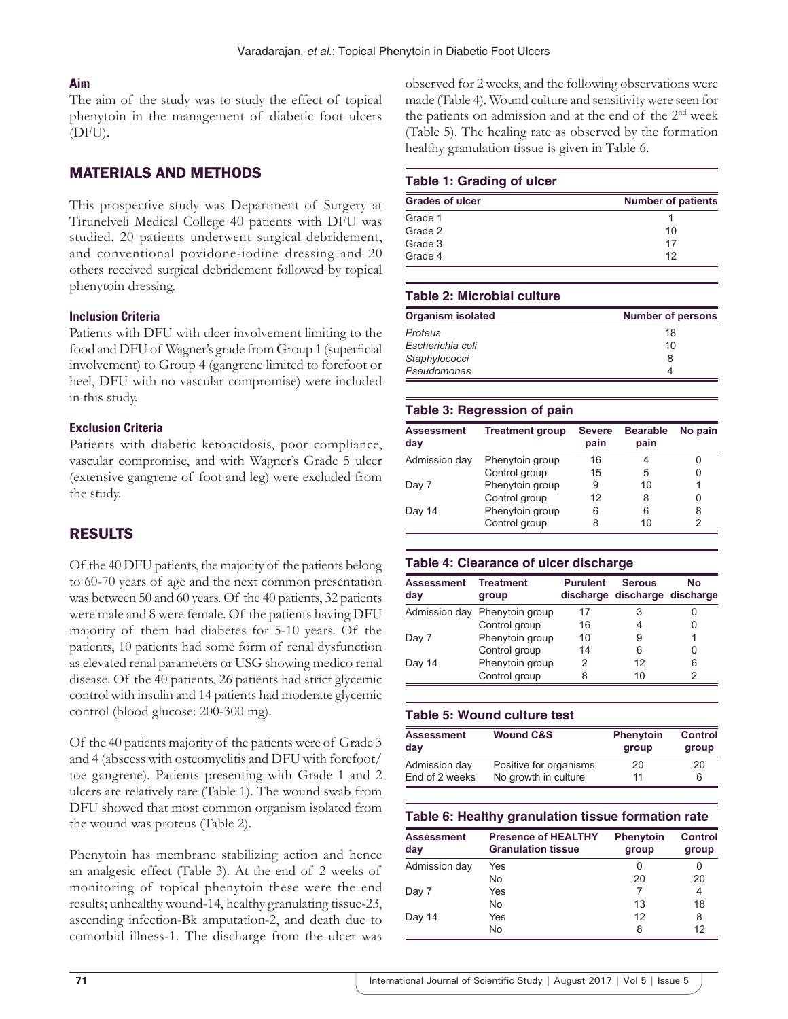# **Aim**

The aim of the study was to study the effect of topical phenytoin in the management of diabetic foot ulcers (DFU).

# MATERIALS AND METHODS

This prospective study was Department of Surgery at Tirunelveli Medical College 40 patients with DFU was studied. 20 patients underwent surgical debridement, and conventional povidone-iodine dressing and 20 others received surgical debridement followed by topical phenytoin dressing.

## **Inclusion Criteria**

Patients with DFU with ulcer involvement limiting to the food and DFU of Wagner's grade from Group 1 (superficial involvement) to Group 4 (gangrene limited to forefoot or heel, DFU with no vascular compromise) were included in this study.

## **Exclusion Criteria**

Patients with diabetic ketoacidosis, poor compliance, vascular compromise, and with Wagner's Grade 5 ulcer (extensive gangrene of foot and leg) were excluded from the study.

# RESULTS

Of the 40 DFU patients, the majority of the patients belong to 60-70 years of age and the next common presentation was between 50 and 60 years. Of the 40 patients, 32 patients were male and 8 were female. Of the patients having DFU majority of them had diabetes for 5-10 years. Of the patients, 10 patients had some form of renal dysfunction as elevated renal parameters or USG showing medico renal disease. Of the 40 patients, 26 patients had strict glycemic control with insulin and 14 patients had moderate glycemic control (blood glucose: 200-300 mg).

Of the 40 patients majority of the patients were of Grade 3 and 4 (abscess with osteomyelitis and DFU with forefoot/ toe gangrene). Patients presenting with Grade 1 and 2 ulcers are relatively rare (Table 1). The wound swab from DFU showed that most common organism isolated from the wound was proteus (Table 2).

Phenytoin has membrane stabilizing action and hence an analgesic effect (Table 3). At the end of 2 weeks of monitoring of topical phenytoin these were the end results; unhealthy wound-14, healthy granulating tissue-23, ascending infection-Bk amputation-2, and death due to comorbid illness-1. The discharge from the ulcer was observed for 2 weeks, and the following observations were made (Table 4). Wound culture and sensitivity were seen for the patients on admission and at the end of the 2nd week (Table 5). The healing rate as observed by the formation healthy granulation tissue is given in Table 6.

## **Table 1: Grading of ulcer**

| <b>Grades of ulcer</b> | <b>Number of patients</b> |
|------------------------|---------------------------|
| Grade 1                |                           |
| Grade 2                | 10                        |
| Grade 3                | 17                        |
| Grade 4                | 12                        |

## **Table 2: Microbial culture**

| <b>Organism isolated</b> | <b>Number of persons</b> |
|--------------------------|--------------------------|
| Proteus                  | 18                       |
| Escherichia coli         | 10                       |
| Staphylococci            | 8                        |
| Pseudomonas              |                          |

## **Table 3: Regression of pain**

| <b>Assessment</b><br>day | <b>Treatment group</b> | <b>Severe</b><br>pain | <b>Bearable</b><br>pain | No pain |
|--------------------------|------------------------|-----------------------|-------------------------|---------|
| Admission day            | Phenytoin group        | 16                    |                         |         |
|                          | Control group          | 15                    | 5                       |         |
| Day 7                    | Phenytoin group        | 9                     | 10                      |         |
|                          | Control group          | 12                    | 8                       | Ω       |
| Day 14                   | Phenytoin group        | 6                     | 6                       | 8       |
|                          | Control group          |                       | 10                      |         |

## **Table 4: Clearance of ulcer discharge**

| <b>Assessment</b><br>day | <b>Treatment</b><br>group     | <b>Purulent</b> | <b>Serous</b><br>discharge discharge discharge | No |
|--------------------------|-------------------------------|-----------------|------------------------------------------------|----|
|                          | Admission day Phenytoin group | 17              | 3                                              |    |
|                          | Control group                 | 16              |                                                |    |
| Day 7                    | Phenytoin group               | 10              | 9                                              |    |
|                          | Control group                 | 14              | 6                                              |    |
| Day 14                   | Phenytoin group               | 2               | 12                                             | 6  |
|                          | Control group                 | 8               | 10                                             |    |

| Table 5: Wound culture test |                        |                           |                         |  |
|-----------------------------|------------------------|---------------------------|-------------------------|--|
| <b>Assessment</b><br>day    | <b>Wound C&amp;S</b>   | <b>Phenytoin</b><br>group | <b>Control</b><br>group |  |
| Admission day               | Positive for organisms | 20                        | 20                      |  |
| End of 2 weeks              | No growth in culture   | 11                        | 6                       |  |

## **Table 6: Healthy granulation tissue formation rate**

| <b>Assessment</b><br>day | <b>Presence of HEALTHY</b><br><b>Granulation tissue</b> | <b>Phenytoin</b><br>group | <b>Control</b><br>group |
|--------------------------|---------------------------------------------------------|---------------------------|-------------------------|
| Admission day            | Yes                                                     |                           |                         |
|                          | No                                                      | 20                        | 20                      |
| Day 7                    | Yes                                                     |                           | 4                       |
|                          | No                                                      | 13                        | 18                      |
| Day 14                   | Yes                                                     | 12                        | 8                       |
|                          | No                                                      | 8                         | 12                      |